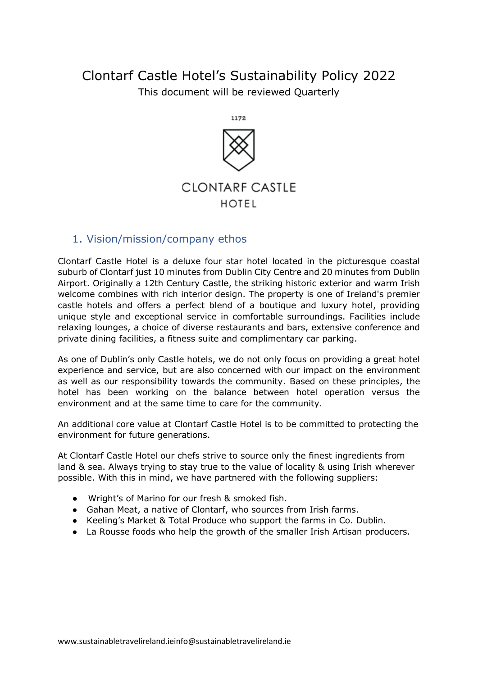# Clontarf Castle Hotel's Sustainability Policy 2022 This document will be reviewed Quarterly



#### 1. Vision/mission/company ethos

Clontarf Castle Hotel is a deluxe four star hotel located in the picturesque coastal suburb of Clontarf just 10 minutes from Dublin City Centre and 20 minutes from Dublin Airport. Originally a 12th Century Castle, the striking historic exterior and warm Irish welcome combines with rich interior design. The property is one of Ireland's premier castle hotels and offers a perfect blend of a boutique and luxury hotel, providing unique style and exceptional service in comfortable surroundings. Facilities include relaxing lounges, a choice of diverse restaurants and bars, extensive conference and private dining facilities, a fitness suite and complimentary car parking.

As one of Dublin's only Castle hotels, we do not only focus on providing a great hotel experience and service, but are also concerned with our impact on the environment as well as our responsibility towards the community. Based on these principles, the hotel has been working on the balance between hotel operation versus the environment and at the same time to care for the community.

An additional core value at Clontarf Castle Hotel is to be committed to protecting the environment for future generations.

At Clontarf Castle Hotel our chefs strive to source only the finest ingredients from land & sea. Always trying to stay true to the value of locality & using Irish wherever possible. With this in mind, we have partnered with the following suppliers:

- Wright's of Marino for our fresh & smoked fish.
- Gahan Meat, a native of Clontarf, who sources from Irish farms.
- Keeling's Market & Total Produce who support the farms in Co. Dublin.
- La Rousse foods who help the growth of the smaller Irish Artisan producers.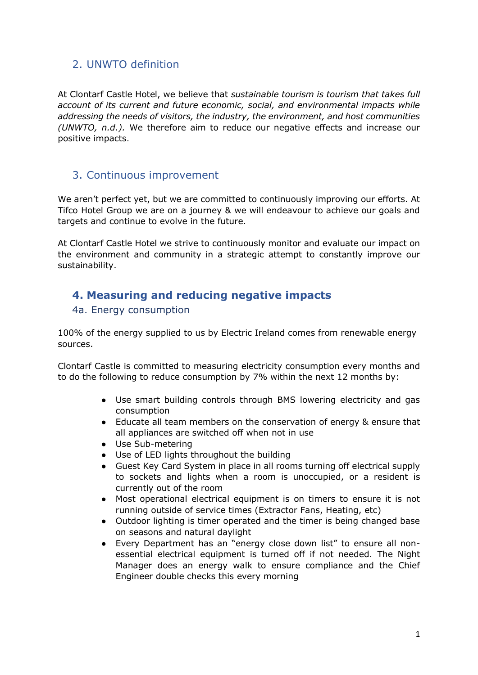### 2. UNWTO definition

At Clontarf Castle Hotel, we believe that *sustainable tourism is tourism that takes full account of its current and future economic, social, and environmental impacts while addressing the needs of visitors, the industry, the environment, and host communities (UNWTO, n.d.).* We therefore aim to reduce our negative effects and increase our positive impacts.

### 3. Continuous improvement

We aren't perfect yet, but we are committed to continuously improving our efforts. At Tifco Hotel Group we are on a journey & we will endeavour to achieve our goals and targets and continue to evolve in the future.

At Clontarf Castle Hotel we strive to continuously monitor and evaluate our impact on the environment and community in a strategic attempt to constantly improve our sustainability.

# **4. Measuring and reducing negative impacts**

#### 4a. Energy consumption

100% of the energy supplied to us by Electric Ireland comes from renewable energy sources.

Clontarf Castle is committed to measuring electricity consumption every months and to do the following to reduce consumption by 7% within the next 12 months by:

- Use smart building controls through BMS lowering electricity and gas consumption
- Educate all team members on the conservation of energy & ensure that all appliances are switched off when not in use
- Use Sub-metering
- Use of LED lights throughout the building
- Guest Key Card System in place in all rooms turning off electrical supply to sockets and lights when a room is unoccupied, or a resident is currently out of the room
- Most operational electrical equipment is on timers to ensure it is not running outside of service times (Extractor Fans, Heating, etc)
- Outdoor lighting is timer operated and the timer is being changed base on seasons and natural daylight
- Every Department has an "energy close down list" to ensure all nonessential electrical equipment is turned off if not needed. The Night Manager does an energy walk to ensure compliance and the Chief Engineer double checks this every morning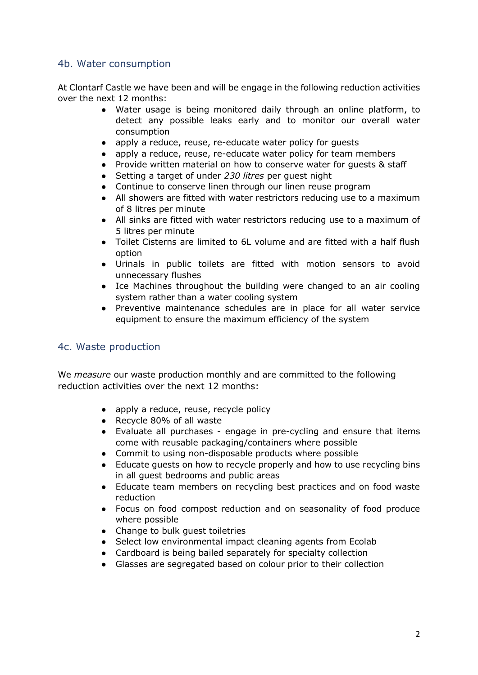#### 4b. Water consumption

At Clontarf Castle we have been and will be engage in the following reduction activities over the next 12 months:

- Water usage is being monitored daily through an online platform, to detect any possible leaks early and to monitor our overall water consumption
- apply a reduce, reuse, re-educate water policy for guests
- apply a reduce, reuse, re-educate water policy for team members
- Provide written material on how to conserve water for guests & staff
- Setting a target of under *230 litres* per guest night
- Continue to conserve linen through our linen reuse program
- All showers are fitted with water restrictors reducing use to a maximum of 8 litres per minute
- All sinks are fitted with water restrictors reducing use to a maximum of 5 litres per minute
- Toilet Cisterns are limited to 6L volume and are fitted with a half flush option
- Urinals in public toilets are fitted with motion sensors to avoid unnecessary flushes
- Ice Machines throughout the building were changed to an air cooling system rather than a water cooling system
- Preventive maintenance schedules are in place for all water service equipment to ensure the maximum efficiency of the system

#### 4c. Waste production

We *measure* our waste production monthly and are committed to the following reduction activities over the next 12 months:

- apply a reduce, reuse, recycle policy
- Recycle 80% of all waste
- Evaluate all purchases engage in pre-cycling and ensure that items come with reusable packaging/containers where possible
- Commit to using non-disposable products where possible
- Educate guests on how to recycle properly and how to use recycling bins in all guest bedrooms and public areas
- Educate team members on recycling best practices and on food waste reduction
- Focus on food compost reduction and on seasonality of food produce where possible
- Change to bulk guest toiletries
- Select low environmental impact cleaning agents from Ecolab
- Cardboard is being bailed separately for specialty collection
- Glasses are segregated based on colour prior to their collection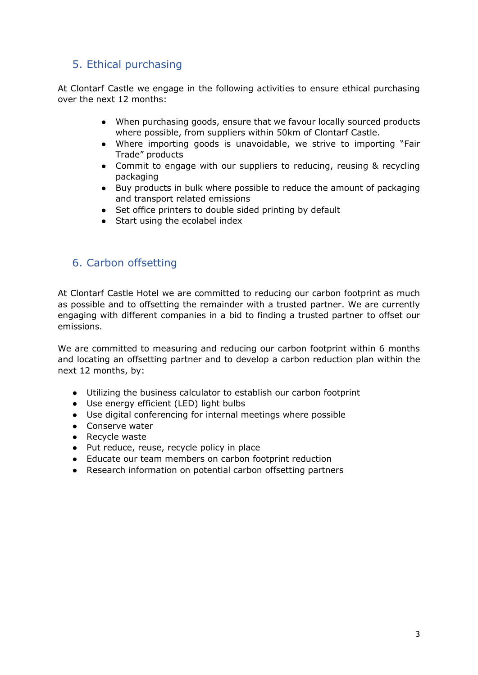# 5. Ethical purchasing

At Clontarf Castle we engage in the following activities to ensure ethical purchasing over the next 12 months:

- When purchasing goods, ensure that we favour locally sourced products where possible, from suppliers within 50km of Clontarf Castle.
- Where importing goods is unavoidable, we strive to importing "Fair Trade" products
- Commit to engage with our suppliers to reducing, reusing & recycling packaging
- Buy products in bulk where possible to reduce the amount of packaging and transport related emissions
- Set office printers to double sided printing by default
- Start using the ecolabel index

# 6. Carbon offsetting

At Clontarf Castle Hotel we are committed to reducing our carbon footprint as much as possible and to offsetting the remainder with a trusted partner. We are currently engaging with different companies in a bid to finding a trusted partner to offset our emissions.

We are committed to measuring and reducing our carbon footprint within 6 months and locating an offsetting partner and to develop a carbon reduction plan within the next 12 months, by:

- Utilizing the business calculator to establish our carbon footprint
- Use energy efficient (LED) light bulbs
- Use digital conferencing for internal meetings where possible
- Conserve water
- Recycle waste
- Put reduce, reuse, recycle policy in place
- Educate our team members on carbon footprint reduction
- Research information on potential carbon offsetting partners